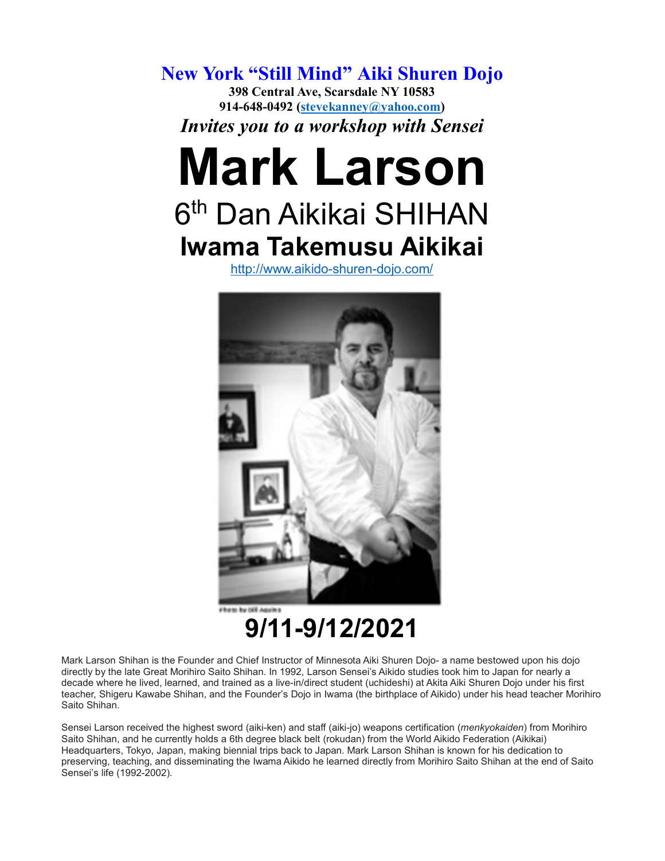**New York "Still Mind" Aiki Shuren Dojo 398 Central Ave, Scarsdale NY 10583 914-648-0492 [\(stevekanney@yahoo.com\)](mailto:stevekanney@yahoo.com)** *Invites you to a workshop with Sensei*

## **Mark Larson** 6<sup>th</sup> Dan Aikikai SHIHAN **Iwama Takemusu Aikikai**

<http://www.aikido-shuren-dojo.com/>



**9/11-9/12/2021**

Mark Larson Shihan is the Founder and Chief Instructor of Minnesota Aiki Shuren Dojo- a name bestowed upon his dojo directly by the late Great Morihiro Saito Shihan. In 1992, Larson Sensei's Aikido studies took him to Japan for nearly a decade where he lived, learned, and trained as a live-in/direct student (uchideshi) at Akita Aiki Shuren Dojo under his first teacher, Shigeru Kawabe Shihan, and the Founder's Dojo in Iwama (the birthplace of Aikido) under his head teacher Morihiro Saito Shihan.

Sensei Larson received the highest sword (aiki-ken) and staff (aiki-jo) weapons certification (*menkyokaiden*) from Morihiro Saito Shihan, and he currently holds a 6th degree black belt (rokudan) from the World Aikido Federation (Aikikai) Headquarters, Tokyo, Japan, making biennial trips back to Japan. Mark Larson Shihan is known for his dedication to preserving, teaching, and disseminating the Iwama Aikido he learned directly from Morihiro Saito Shihan at the end of Saito Sensei's life (1992-2002).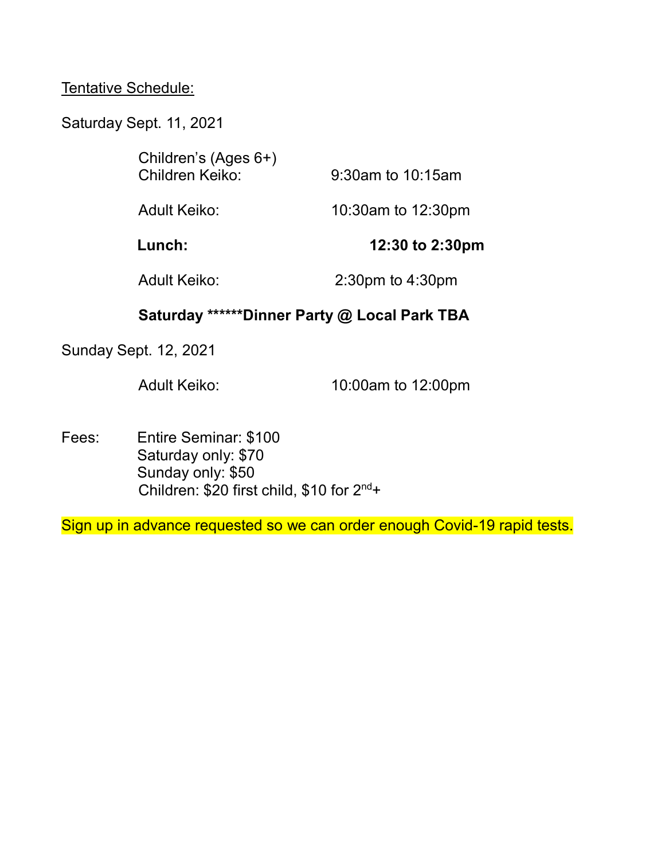## Tentative Schedule:

Saturday Sept. 11, 2021

| Children's (Ages 6+)<br>Children Keiko: | 9:30am to 10:15am      |
|-----------------------------------------|------------------------|
| Adult Keiko:                            | 10:30am to 12:30pm     |
| Lunch:                                  | 12:30 to 2:30pm        |
| <b>Adult Keiko:</b>                     | $2:30$ pm to $4:30$ pm |

## **Saturday \*\*\*\*\*\*Dinner Party @ Local Park TBA**

Sunday Sept. 12, 2021

Adult Keiko: 10:00am to 12:00pm

Fees: Entire Seminar: \$100 Saturday only: \$70 Sunday only: \$50 Children: \$20 first child, \$10 for 2<sup>nd+</sup>

Sign up in advance requested so we can order enough Covid-19 rapid tests.